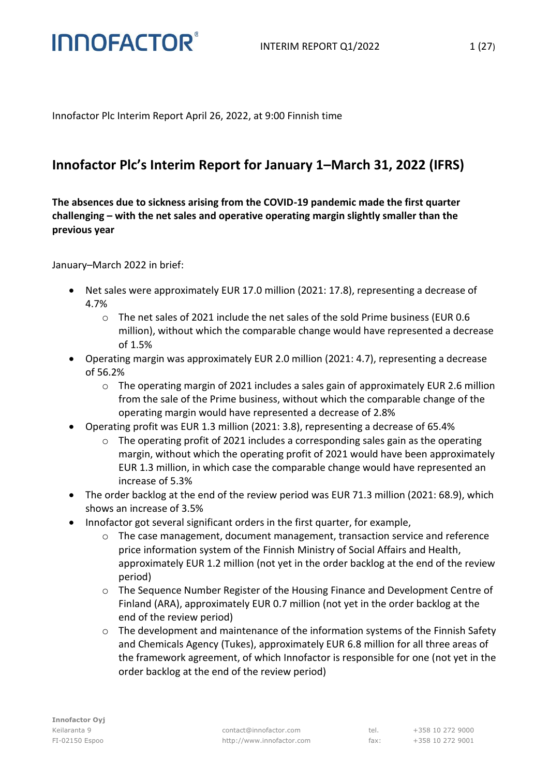Innofactor Plc Interim Report April 26, 2022, at 9:00 Finnish time

### **Innofactor Plc's Interim Report for January 1–March 31, 2022 (IFRS)**

**The absences due to sickness arising from the COVID-19 pandemic made the first quarter challenging – with the net sales and operative operating margin slightly smaller than the previous year** 

January–March 2022 in brief:

**INNOFACTOR®** 

- Net sales were approximately EUR 17.0 million (2021: 17.8), representing a decrease of 4.7%
	- o The net sales of 2021 include the net sales of the sold Prime business (EUR 0.6 million), without which the comparable change would have represented a decrease of 1.5%
- Operating margin was approximately EUR 2.0 million (2021: 4.7), representing a decrease of 56.2%
	- $\circ$  The operating margin of 2021 includes a sales gain of approximately EUR 2.6 million from the sale of the Prime business, without which the comparable change of the operating margin would have represented a decrease of 2.8%
- Operating profit was EUR 1.3 million (2021: 3.8), representing a decrease of 65.4%
	- o The operating profit of 2021 includes a corresponding sales gain as the operating margin, without which the operating profit of 2021 would have been approximately EUR 1.3 million, in which case the comparable change would have represented an increase of 5.3%
- The order backlog at the end of the review period was EUR 71.3 million (2021: 68.9), which shows an increase of 3.5%
- Innofactor got several significant orders in the first quarter, for example,
	- o The case management, document management, transaction service and reference price information system of the Finnish Ministry of Social Affairs and Health, approximately EUR 1.2 million (not yet in the order backlog at the end of the review period)
	- o The Sequence Number Register of the Housing Finance and Development Centre of Finland (ARA), approximately EUR 0.7 million (not yet in the order backlog at the end of the review period)
	- $\circ$  The development and maintenance of the information systems of the Finnish Safety and Chemicals Agency (Tukes), approximately EUR 6.8 million for all three areas of the framework agreement, of which Innofactor is responsible for one (not yet in the order backlog at the end of the review period)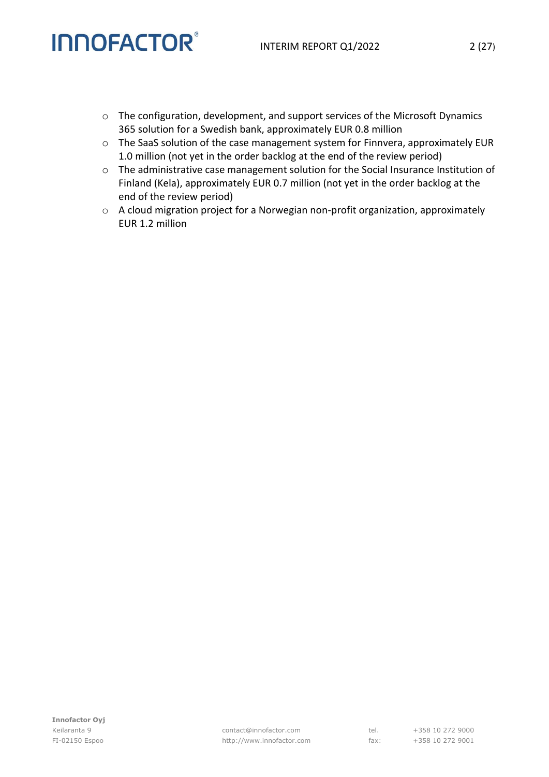- o The configuration, development, and support services of the Microsoft Dynamics 365 solution for a Swedish bank, approximately EUR 0.8 million
- o The SaaS solution of the case management system for Finnvera, approximately EUR 1.0 million (not yet in the order backlog at the end of the review period)
- o The administrative case management solution for the Social Insurance Institution of Finland (Kela), approximately EUR 0.7 million (not yet in the order backlog at the end of the review period)
- o A cloud migration project for a Norwegian non-profit organization, approximately EUR 1.2 million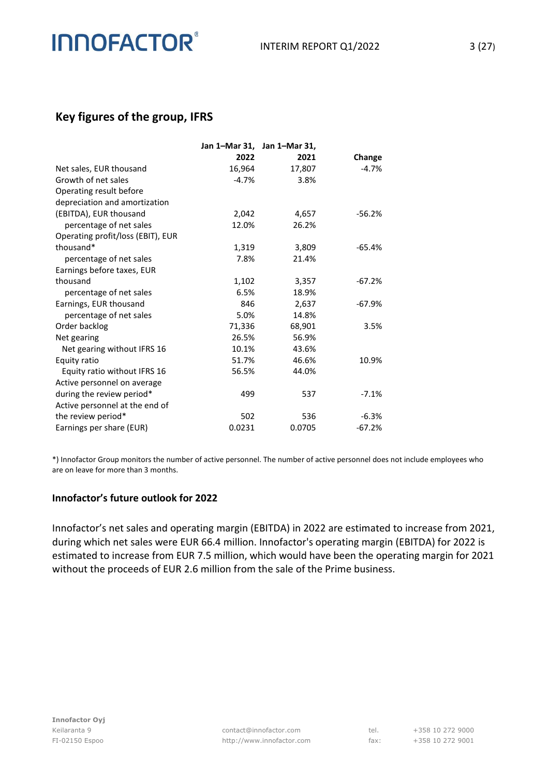### **Key figures of the group, IFRS**

|                                   |         | Jan 1-Mar 31, Jan 1-Mar 31, |          |
|-----------------------------------|---------|-----------------------------|----------|
|                                   | 2022    | 2021                        | Change   |
| Net sales, EUR thousand           | 16,964  | 17,807                      | $-4.7%$  |
| Growth of net sales               | $-4.7%$ | 3.8%                        |          |
| Operating result before           |         |                             |          |
| depreciation and amortization     |         |                             |          |
| (EBITDA), EUR thousand            | 2,042   | 4,657                       | $-56.2%$ |
| percentage of net sales           | 12.0%   | 26.2%                       |          |
| Operating profit/loss (EBIT), EUR |         |                             |          |
| thousand*                         | 1,319   | 3,809                       | $-65.4%$ |
| percentage of net sales           | 7.8%    | 21.4%                       |          |
| Earnings before taxes, EUR        |         |                             |          |
| thousand                          | 1,102   | 3,357                       | $-67.2%$ |
| percentage of net sales           | 6.5%    | 18.9%                       |          |
| Earnings, EUR thousand            | 846     | 2,637                       | $-67.9%$ |
| percentage of net sales           | 5.0%    | 14.8%                       |          |
| Order backlog                     | 71,336  | 68,901                      | 3.5%     |
| Net gearing                       | 26.5%   | 56.9%                       |          |
| Net gearing without IFRS 16       | 10.1%   | 43.6%                       |          |
| Equity ratio                      | 51.7%   | 46.6%                       | 10.9%    |
| Equity ratio without IFRS 16      | 56.5%   | 44.0%                       |          |
| Active personnel on average       |         |                             |          |
| during the review period*         | 499     | 537                         | $-7.1%$  |
| Active personnel at the end of    |         |                             |          |
| the review period*                | 502     | 536                         | $-6.3%$  |
| Earnings per share (EUR)          | 0.0231  | 0.0705                      | $-67.2%$ |

\*) Innofactor Group monitors the number of active personnel. The number of active personnel does not include employees who are on leave for more than 3 months.

#### **Innofactor's future outlook for 2022**

Innofactor's net sales and operating margin (EBITDA) in 2022 are estimated to increase from 2021, during which net sales were EUR 66.4 million. Innofactor's operating margin (EBITDA) for 2022 is estimated to increase from EUR 7.5 million, which would have been the operating margin for 2021 without the proceeds of EUR 2.6 million from the sale of the Prime business.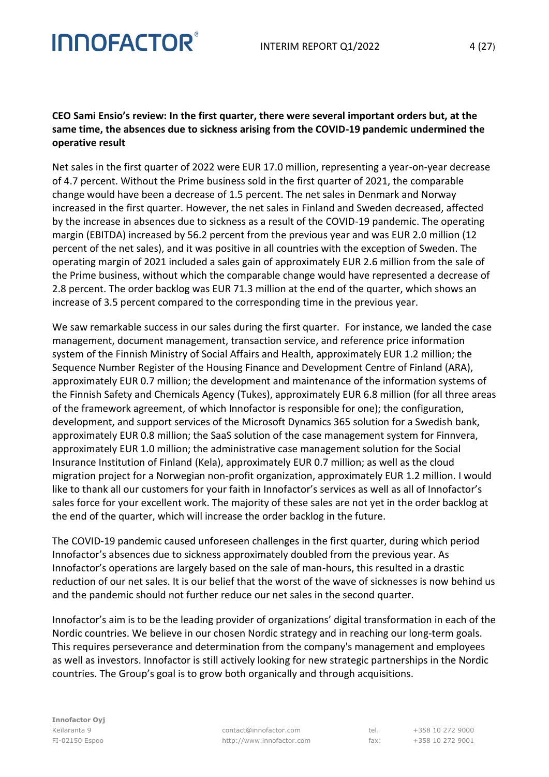#### **CEO Sami Ensio's review: In the first quarter, there were several important orders but, at the same time, the absences due to sickness arising from the COVID-19 pandemic undermined the operative result**

Net sales in the first quarter of 2022 were EUR 17.0 million, representing a year-on-year decrease of 4.7 percent. Without the Prime business sold in the first quarter of 2021, the comparable change would have been a decrease of 1.5 percent. The net sales in Denmark and Norway increased in the first quarter. However, the net sales in Finland and Sweden decreased, affected by the increase in absences due to sickness as a result of the COVID-19 pandemic. The operating margin (EBITDA) increased by 56.2 percent from the previous year and was EUR 2.0 million (12 percent of the net sales), and it was positive in all countries with the exception of Sweden. The operating margin of 2021 included a sales gain of approximately EUR 2.6 million from the sale of the Prime business, without which the comparable change would have represented a decrease of 2.8 percent. The order backlog was EUR 71.3 million at the end of the quarter, which shows an increase of 3.5 percent compared to the corresponding time in the previous year.

We saw remarkable success in our sales during the first quarter. For instance, we landed the case management, document management, transaction service, and reference price information system of the Finnish Ministry of Social Affairs and Health, approximately EUR 1.2 million; the Sequence Number Register of the Housing Finance and Development Centre of Finland (ARA), approximately EUR 0.7 million; the development and maintenance of the information systems of the Finnish Safety and Chemicals Agency (Tukes), approximately EUR 6.8 million (for all three areas of the framework agreement, of which Innofactor is responsible for one); the configuration, development, and support services of the Microsoft Dynamics 365 solution for a Swedish bank, approximately EUR 0.8 million; the SaaS solution of the case management system for Finnvera, approximately EUR 1.0 million; the administrative case management solution for the Social Insurance Institution of Finland (Kela), approximately EUR 0.7 million; as well as the cloud migration project for a Norwegian non-profit organization, approximately EUR 1.2 million. I would like to thank all our customers for your faith in Innofactor's services as well as all of Innofactor's sales force for your excellent work. The majority of these sales are not yet in the order backlog at the end of the quarter, which will increase the order backlog in the future.

The COVID-19 pandemic caused unforeseen challenges in the first quarter, during which period Innofactor's absences due to sickness approximately doubled from the previous year. As Innofactor's operations are largely based on the sale of man-hours, this resulted in a drastic reduction of our net sales. It is our belief that the worst of the wave of sicknesses is now behind us and the pandemic should not further reduce our net sales in the second quarter.

Innofactor's aim is to be the leading provider of organizations' digital transformation in each of the Nordic countries. We believe in our chosen Nordic strategy and in reaching our long-term goals. This requires perseverance and determination from the company's management and employees as well as investors. Innofactor is still actively looking for new strategic partnerships in the Nordic countries. The Group's goal is to grow both organically and through acquisitions.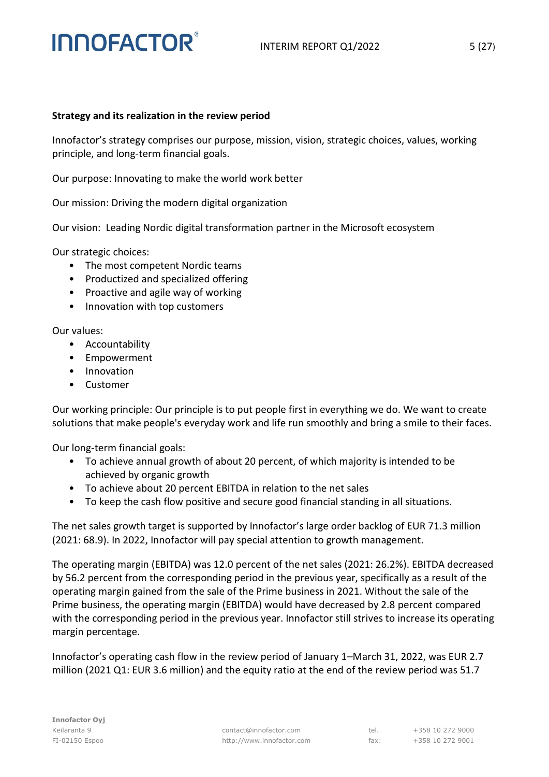#### **Strategy and its realization in the review period**

Innofactor's strategy comprises our purpose, mission, vision, strategic choices, values, working principle, and long-term financial goals.

Our purpose: Innovating to make the world work better

Our mission: Driving the modern digital organization

Our vision: Leading Nordic digital transformation partner in the Microsoft ecosystem

Our strategic choices:

- The most competent Nordic teams
- Productized and specialized offering
- Proactive and agile way of working
- Innovation with top customers

Our values:

- Accountability
- Empowerment
- Innovation
- Customer

Our working principle: Our principle is to put people first in everything we do. We want to create solutions that make people's everyday work and life run smoothly and bring a smile to their faces.

Our long-term financial goals:

- To achieve annual growth of about 20 percent, of which majority is intended to be achieved by organic growth
- To achieve about 20 percent EBITDA in relation to the net sales
- To keep the cash flow positive and secure good financial standing in all situations.

The net sales growth target is supported by Innofactor's large order backlog of EUR 71.3 million (2021: 68.9). In 2022, Innofactor will pay special attention to growth management.

The operating margin (EBITDA) was 12.0 percent of the net sales (2021: 26.2%). EBITDA decreased by 56.2 percent from the corresponding period in the previous year, specifically as a result of the operating margin gained from the sale of the Prime business in 2021. Without the sale of the Prime business, the operating margin (EBITDA) would have decreased by 2.8 percent compared with the corresponding period in the previous year. Innofactor still strives to increase its operating margin percentage.

Innofactor's operating cash flow in the review period of January 1–March 31, 2022, was EUR 2.7 million (2021 Q1: EUR 3.6 million) and the equity ratio at the end of the review period was 51.7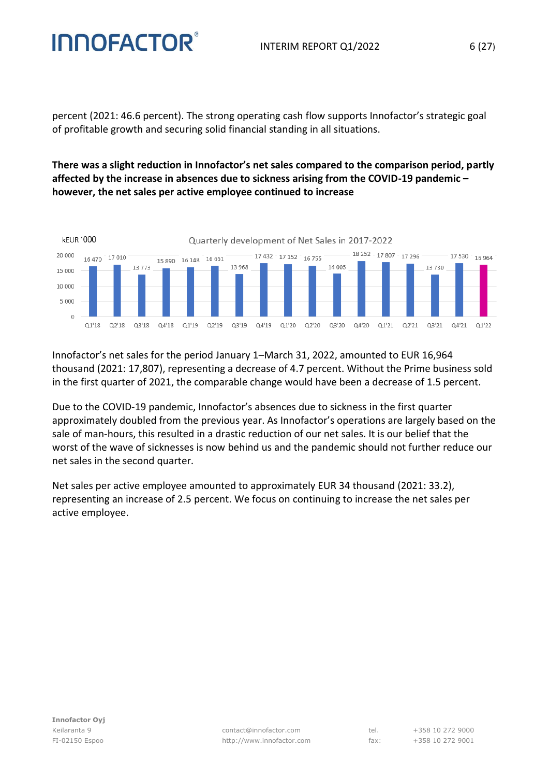percent (2021: 46.6 percent). The strong operating cash flow supports Innofactor's strategic goal of profitable growth and securing solid financial standing in all situations.

**There was a slight reduction in Innofactor's net sales compared to the comparison period, partly affected by the increase in absences due to sickness arising from the COVID-19 pandemic – however, the net sales per active employee continued to increase**



Innofactor's net sales for the period January 1–March 31, 2022, amounted to EUR 16,964 thousand (2021: 17,807), representing a decrease of 4.7 percent. Without the Prime business sold in the first quarter of 2021, the comparable change would have been a decrease of 1.5 percent.

Due to the COVID-19 pandemic, Innofactor's absences due to sickness in the first quarter approximately doubled from the previous year. As Innofactor's operations are largely based on the sale of man-hours, this resulted in a drastic reduction of our net sales. It is our belief that the worst of the wave of sicknesses is now behind us and the pandemic should not further reduce our net sales in the second quarter.

Net sales per active employee amounted to approximately EUR 34 thousand (2021: 33.2), representing an increase of 2.5 percent. We focus on continuing to increase the net sales per active employee.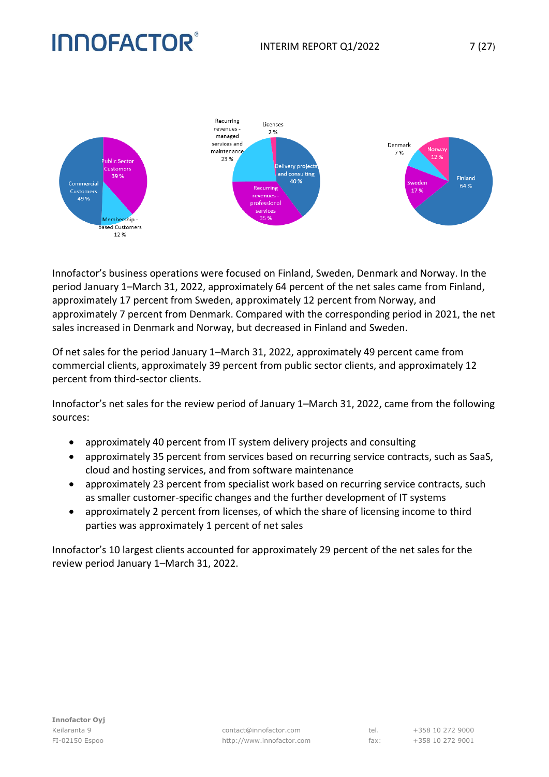

Innofactor's business operations were focused on Finland, Sweden, Denmark and Norway. In the period January 1–March 31, 2022, approximately 64 percent of the net sales came from Finland, approximately 17 percent from Sweden, approximately 12 percent from Norway, and approximately 7 percent from Denmark. Compared with the corresponding period in 2021, the net sales increased in Denmark and Norway, but decreased in Finland and Sweden.

Of net sales for the period January 1–March 31, 2022, approximately 49 percent came from commercial clients, approximately 39 percent from public sector clients, and approximately 12 percent from third-sector clients.

Innofactor's net sales for the review period of January 1–March 31, 2022, came from the following sources:

- approximately 40 percent from IT system delivery projects and consulting
- approximately 35 percent from services based on recurring service contracts, such as SaaS, cloud and hosting services, and from software maintenance
- approximately 23 percent from specialist work based on recurring service contracts, such as smaller customer-specific changes and the further development of IT systems
- approximately 2 percent from licenses, of which the share of licensing income to third parties was approximately 1 percent of net sales

Innofactor's 10 largest clients accounted for approximately 29 percent of the net sales for the review period January 1–March 31, 2022.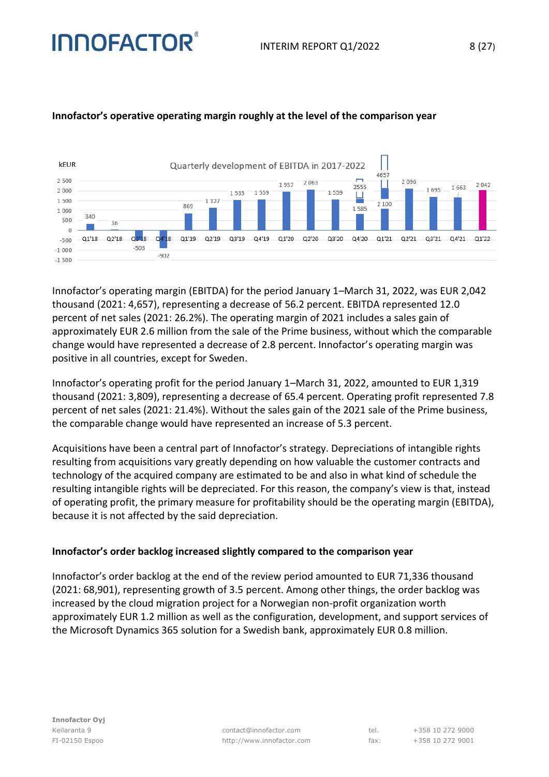

#### **Innofactor's operative operating margin roughly at the level of the comparison year**

Innofactor's operating margin (EBITDA) for the period January 1–March 31, 2022, was EUR 2,042 thousand (2021: 4,657), representing a decrease of 56.2 percent. EBITDA represented 12.0 percent of net sales (2021: 26.2%). The operating margin of 2021 includes a sales gain of approximately EUR 2.6 million from the sale of the Prime business, without which the comparable change would have represented a decrease of 2.8 percent. Innofactor's operating margin was positive in all countries, except for Sweden.

Innofactor's operating profit for the period January 1–March 31, 2022, amounted to EUR 1,319 thousand (2021: 3,809), representing a decrease of 65.4 percent. Operating profit represented 7.8 percent of net sales (2021: 21.4%). Without the sales gain of the 2021 sale of the Prime business, the comparable change would have represented an increase of 5.3 percent.

Acquisitions have been a central part of Innofactor's strategy. Depreciations of intangible rights resulting from acquisitions vary greatly depending on how valuable the customer contracts and technology of the acquired company are estimated to be and also in what kind of schedule the resulting intangible rights will be depreciated. For this reason, the company's view is that, instead of operating profit, the primary measure for profitability should be the operating margin (EBITDA), because it is not affected by the said depreciation.

#### **Innofactor's order backlog increased slightly compared to the comparison year**

Innofactor's order backlog at the end of the review period amounted to EUR 71,336 thousand (2021: 68,901), representing growth of 3.5 percent. Among other things, the order backlog was increased by the cloud migration project for a Norwegian non-profit organization worth approximately EUR 1.2 million as well as the configuration, development, and support services of the Microsoft Dynamics 365 solution for a Swedish bank, approximately EUR 0.8 million.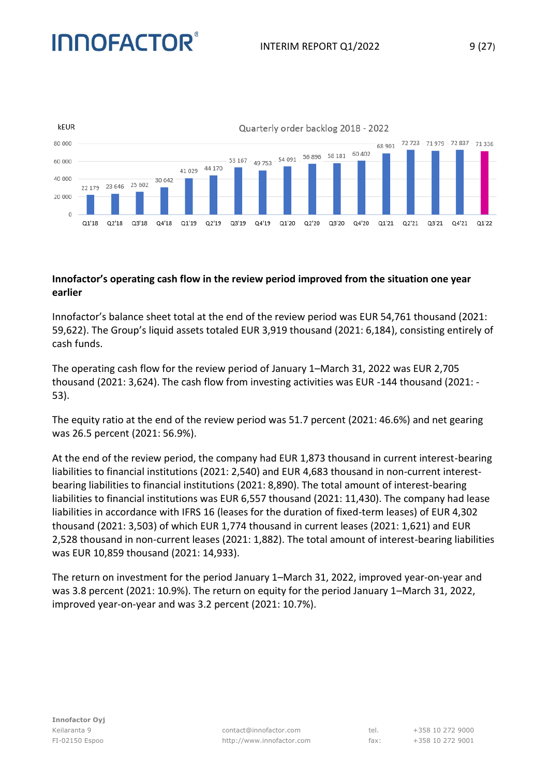### INTERIM REPORT 01/2022 9 (27)

# **INNOFACTOR®**



#### **Innofactor's operating cash flow in the review period improved from the situation one year earlier**

Innofactor's balance sheet total at the end of the review period was EUR 54,761 thousand (2021: 59,622). The Group's liquid assets totaled EUR 3,919 thousand (2021: 6,184), consisting entirely of cash funds.

The operating cash flow for the review period of January 1–March 31, 2022 was EUR 2,705 thousand (2021: 3,624). The cash flow from investing activities was EUR -144 thousand (2021: - 53).

The equity ratio at the end of the review period was 51.7 percent (2021: 46.6%) and net gearing was 26.5 percent (2021: 56.9%).

At the end of the review period, the company had EUR 1,873 thousand in current interest-bearing liabilities to financial institutions (2021: 2,540) and EUR 4,683 thousand in non-current interestbearing liabilities to financial institutions (2021: 8,890). The total amount of interest-bearing liabilities to financial institutions was EUR 6,557 thousand (2021: 11,430). The company had lease liabilities in accordance with IFRS 16 (leases for the duration of fixed-term leases) of EUR 4,302 thousand (2021: 3,503) of which EUR 1,774 thousand in current leases (2021: 1,621) and EUR 2,528 thousand in non-current leases (2021: 1,882). The total amount of interest-bearing liabilities was EUR 10,859 thousand (2021: 14,933).

The return on investment for the period January 1–March 31, 2022, improved year-on-year and was 3.8 percent (2021: 10.9%). The return on equity for the period January 1–March 31, 2022, improved year-on-year and was 3.2 percent (2021: 10.7%).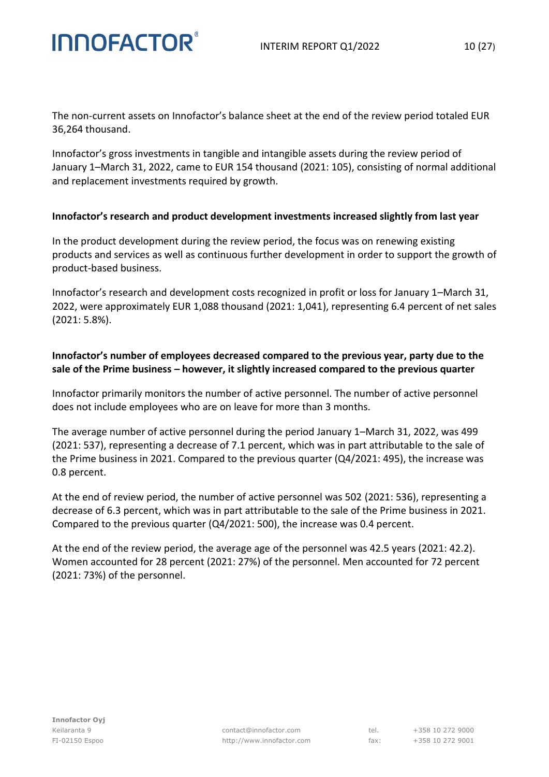The non-current assets on Innofactor's balance sheet at the end of the review period totaled EUR 36,264 thousand.

Innofactor's gross investments in tangible and intangible assets during the review period of January 1–March 31, 2022, came to EUR 154 thousand (2021: 105), consisting of normal additional and replacement investments required by growth.

#### **Innofactor's research and product development investments increased slightly from last year**

In the product development during the review period, the focus was on renewing existing products and services as well as continuous further development in order to support the growth of product-based business.

Innofactor's research and development costs recognized in profit or loss for January 1–March 31, 2022, were approximately EUR 1,088 thousand (2021: 1,041), representing 6.4 percent of net sales (2021: 5.8%).

#### **Innofactor's number of employees decreased compared to the previous year, party due to the sale of the Prime business – however, it slightly increased compared to the previous quarter**

Innofactor primarily monitors the number of active personnel. The number of active personnel does not include employees who are on leave for more than 3 months.

The average number of active personnel during the period January 1–March 31, 2022, was 499 (2021: 537), representing a decrease of 7.1 percent, which was in part attributable to the sale of the Prime business in 2021. Compared to the previous quarter (Q4/2021: 495), the increase was 0.8 percent.

At the end of review period, the number of active personnel was 502 (2021: 536), representing a decrease of 6.3 percent, which was in part attributable to the sale of the Prime business in 2021. Compared to the previous quarter (Q4/2021: 500), the increase was 0.4 percent.

At the end of the review period, the average age of the personnel was 42.5 years (2021: 42.2). Women accounted for 28 percent (2021: 27%) of the personnel. Men accounted for 72 percent (2021: 73%) of the personnel.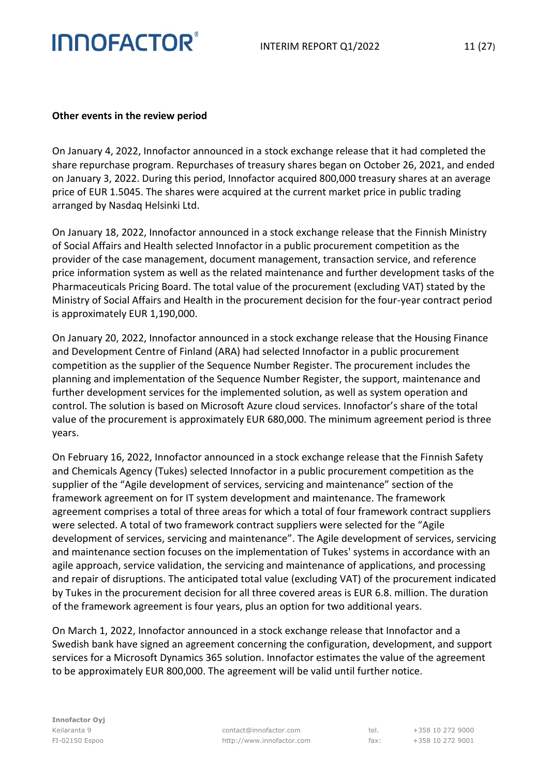#### **Other events in the review period**

**INNOFACTOR®** 

On January 4, 2022, Innofactor announced in a stock exchange release that it had completed the share repurchase program. Repurchases of treasury shares began on October 26, 2021, and ended on January 3, 2022. During this period, Innofactor acquired 800,000 treasury shares at an average price of EUR 1.5045. The shares were acquired at the current market price in public trading arranged by Nasdaq Helsinki Ltd.

On January 18, 2022, Innofactor announced in a stock exchange release that the Finnish Ministry of Social Affairs and Health selected Innofactor in a public procurement competition as the provider of the case management, document management, transaction service, and reference price information system as well as the related maintenance and further development tasks of the Pharmaceuticals Pricing Board. The total value of the procurement (excluding VAT) stated by the Ministry of Social Affairs and Health in the procurement decision for the four-year contract period is approximately EUR 1,190,000.

On January 20, 2022, Innofactor announced in a stock exchange release that the Housing Finance and Development Centre of Finland (ARA) had selected Innofactor in a public procurement competition as the supplier of the Sequence Number Register. The procurement includes the planning and implementation of the Sequence Number Register, the support, maintenance and further development services for the implemented solution, as well as system operation and control. The solution is based on Microsoft Azure cloud services. Innofactor's share of the total value of the procurement is approximately EUR 680,000. The minimum agreement period is three years.

On February 16, 2022, Innofactor announced in a stock exchange release that the Finnish Safety and Chemicals Agency (Tukes) selected Innofactor in a public procurement competition as the supplier of the "Agile development of services, servicing and maintenance" section of the framework agreement on for IT system development and maintenance. The framework agreement comprises a total of three areas for which a total of four framework contract suppliers were selected. A total of two framework contract suppliers were selected for the "Agile development of services, servicing and maintenance". The Agile development of services, servicing and maintenance section focuses on the implementation of Tukes' systems in accordance with an agile approach, service validation, the servicing and maintenance of applications, and processing and repair of disruptions. The anticipated total value (excluding VAT) of the procurement indicated by Tukes in the procurement decision for all three covered areas is EUR 6.8. million. The duration of the framework agreement is four years, plus an option for two additional years.

On March 1, 2022, Innofactor announced in a stock exchange release that Innofactor and a Swedish bank have signed an agreement concerning the configuration, development, and support services for a Microsoft Dynamics 365 solution. Innofactor estimates the value of the agreement to be approximately EUR 800,000. The agreement will be valid until further notice.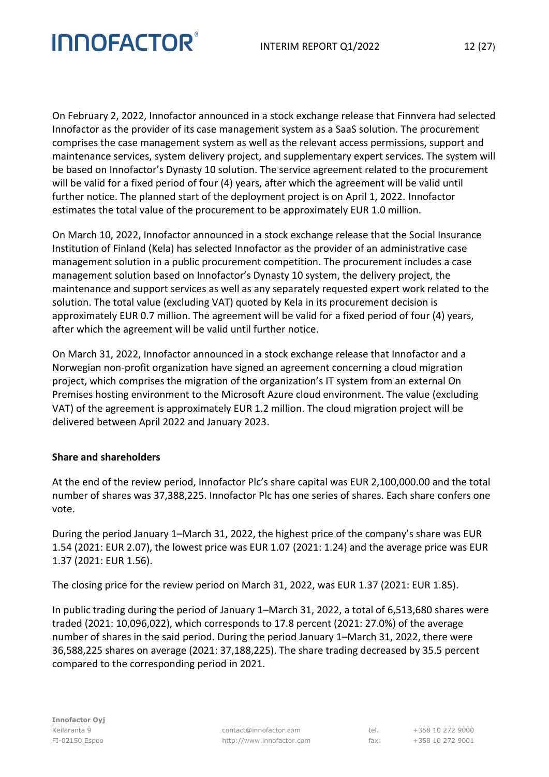On February 2, 2022, Innofactor announced in a stock exchange release that Finnvera had selected Innofactor as the provider of its case management system as a SaaS solution. The procurement comprises the case management system as well as the relevant access permissions, support and maintenance services, system delivery project, and supplementary expert services. The system will be based on Innofactor's Dynasty 10 solution. The service agreement related to the procurement will be valid for a fixed period of four (4) years, after which the agreement will be valid until further notice. The planned start of the deployment project is on April 1, 2022. Innofactor estimates the total value of the procurement to be approximately EUR 1.0 million.

On March 10, 2022, Innofactor announced in a stock exchange release that the Social Insurance Institution of Finland (Kela) has selected Innofactor as the provider of an administrative case management solution in a public procurement competition. The procurement includes a case management solution based on Innofactor's Dynasty 10 system, the delivery project, the maintenance and support services as well as any separately requested expert work related to the solution. The total value (excluding VAT) quoted by Kela in its procurement decision is approximately EUR 0.7 million. The agreement will be valid for a fixed period of four (4) years, after which the agreement will be valid until further notice.

On March 31, 2022, Innofactor announced in a stock exchange release that Innofactor and a Norwegian non-profit organization have signed an agreement concerning a cloud migration project, which comprises the migration of the organization's IT system from an external On Premises hosting environment to the Microsoft Azure cloud environment. The value (excluding VAT) of the agreement is approximately EUR 1.2 million. The cloud migration project will be delivered between April 2022 and January 2023.

#### **Share and shareholders**

At the end of the review period, Innofactor Plc's share capital was EUR 2,100,000.00 and the total number of shares was 37,388,225. Innofactor Plc has one series of shares. Each share confers one vote.

During the period January 1–March 31, 2022, the highest price of the company's share was EUR 1.54 (2021: EUR 2.07), the lowest price was EUR 1.07 (2021: 1.24) and the average price was EUR 1.37 (2021: EUR 1.56).

The closing price for the review period on March 31, 2022, was EUR 1.37 (2021: EUR 1.85).

In public trading during the period of January 1–March 31, 2022, a total of 6,513,680 shares were traded (2021: 10,096,022), which corresponds to 17.8 percent (2021: 27.0%) of the average number of shares in the said period. During the period January 1–March 31, 2022, there were 36,588,225 shares on average (2021: 37,188,225). The share trading decreased by 35.5 percent compared to the corresponding period in 2021.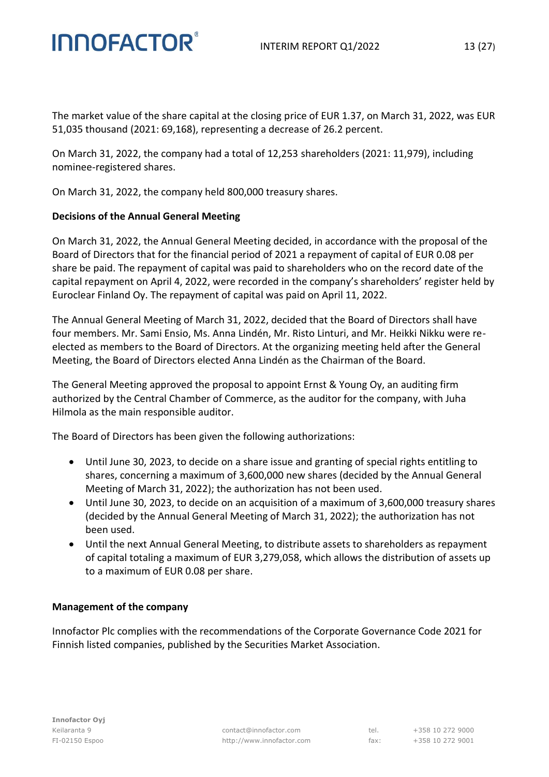The market value of the share capital at the closing price of EUR 1.37, on March 31, 2022, was EUR 51,035 thousand (2021: 69,168), representing a decrease of 26.2 percent.

On March 31, 2022, the company had a total of 12,253 shareholders (2021: 11,979), including nominee-registered shares.

On March 31, 2022, the company held 800,000 treasury shares.

#### **Decisions of the Annual General Meeting**

On March 31, 2022, the Annual General Meeting decided, in accordance with the proposal of the Board of Directors that for the financial period of 2021 a repayment of capital of EUR 0.08 per share be paid. The repayment of capital was paid to shareholders who on the record date of the capital repayment on April 4, 2022, were recorded in the company's shareholders' register held by Euroclear Finland Oy. The repayment of capital was paid on April 11, 2022.

The Annual General Meeting of March 31, 2022, decided that the Board of Directors shall have four members. Mr. Sami Ensio, Ms. Anna Lindén, Mr. Risto Linturi, and Mr. Heikki Nikku were reelected as members to the Board of Directors. At the organizing meeting held after the General Meeting, the Board of Directors elected Anna Lindén as the Chairman of the Board.

The General Meeting approved the proposal to appoint Ernst & Young Oy, an auditing firm authorized by the Central Chamber of Commerce, as the auditor for the company, with Juha Hilmola as the main responsible auditor.

The Board of Directors has been given the following authorizations:

- Until June 30, 2023, to decide on a share issue and granting of special rights entitling to shares, concerning a maximum of 3,600,000 new shares (decided by the Annual General Meeting of March 31, 2022); the authorization has not been used.
- Until June 30, 2023, to decide on an acquisition of a maximum of 3,600,000 treasury shares (decided by the Annual General Meeting of March 31, 2022); the authorization has not been used.
- Until the next Annual General Meeting, to distribute assets to shareholders as repayment of capital totaling a maximum of EUR 3,279,058, which allows the distribution of assets up to a maximum of EUR 0.08 per share.

#### **Management of the company**

Innofactor Plc complies with the recommendations of the Corporate Governance Code 2021 for Finnish listed companies, published by the Securities Market Association.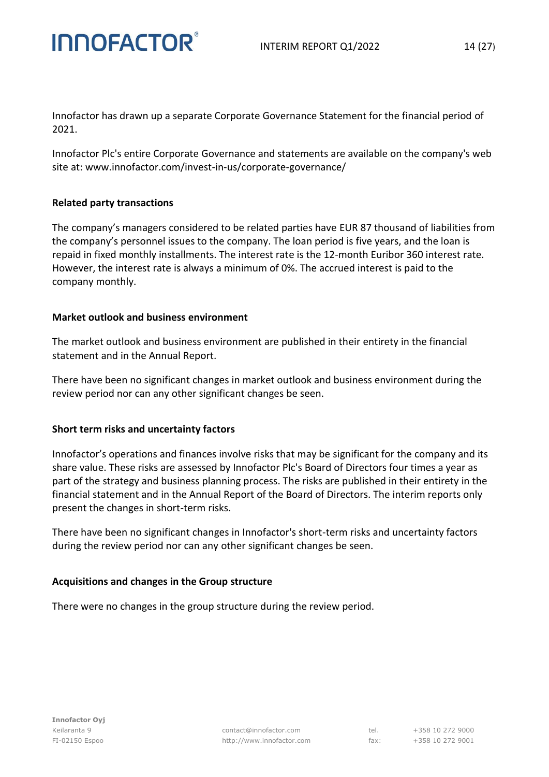Innofactor has drawn up a separate Corporate Governance Statement for the financial period of 2021.

Innofactor Plc's entire Corporate Governance and statements are available on the company's web site at: www.innofactor.com/invest-in-us/corporate-governance/

#### **Related party transactions**

The company's managers considered to be related parties have EUR 87 thousand of liabilities from the company's personnel issues to the company. The loan period is five years, and the loan is repaid in fixed monthly installments. The interest rate is the 12-month Euribor 360 interest rate. However, the interest rate is always a minimum of 0%. The accrued interest is paid to the company monthly.

#### **Market outlook and business environment**

The market outlook and business environment are published in their entirety in the financial statement and in the Annual Report.

There have been no significant changes in market outlook and business environment during the review period nor can any other significant changes be seen.

#### **Short term risks and uncertainty factors**

Innofactor's operations and finances involve risks that may be significant for the company and its share value. These risks are assessed by Innofactor Plc's Board of Directors four times a year as part of the strategy and business planning process. The risks are published in their entirety in the financial statement and in the Annual Report of the Board of Directors. The interim reports only present the changes in short-term risks.

There have been no significant changes in Innofactor's short-term risks and uncertainty factors during the review period nor can any other significant changes be seen.

#### **Acquisitions and changes in the Group structure**

There were no changes in the group structure during the review period.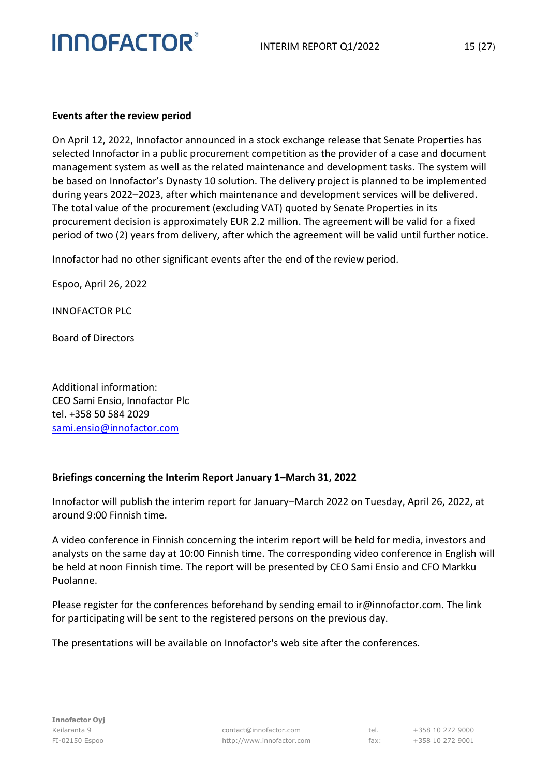

#### **Events after the review period**

On April 12, 2022, Innofactor announced in a stock exchange release that Senate Properties has selected Innofactor in a public procurement competition as the provider of a case and document management system as well as the related maintenance and development tasks. The system will be based on Innofactor's Dynasty 10 solution. The delivery project is planned to be implemented during years 2022–2023, after which maintenance and development services will be delivered. The total value of the procurement (excluding VAT) quoted by Senate Properties in its procurement decision is approximately EUR 2.2 million. The agreement will be valid for a fixed period of two (2) years from delivery, after which the agreement will be valid until further notice.

Innofactor had no other significant events after the end of the review period.

Espoo, April 26, 2022

INNOFACTOR PLC

Board of Directors

Additional information: CEO Sami Ensio, Innofactor Plc tel. +358 50 584 2029 [sami.ensio@innofactor.com](mailto:sami.ensio@innofactor.com)

#### **Briefings concerning the Interim Report January 1–March 31, 2022**

Innofactor will publish the interim report for January–March 2022 on Tuesday, April 26, 2022, at around 9:00 Finnish time.

A video conference in Finnish concerning the interim report will be held for media, investors and analysts on the same day at 10:00 Finnish time. The corresponding video conference in English will be held at noon Finnish time. The report will be presented by CEO Sami Ensio and CFO Markku Puolanne.

Please register for the conferences beforehand by sending email to ir@innofactor.com. The link for participating will be sent to the registered persons on the previous day.

The presentations will be available on Innofactor's web site after the conferences.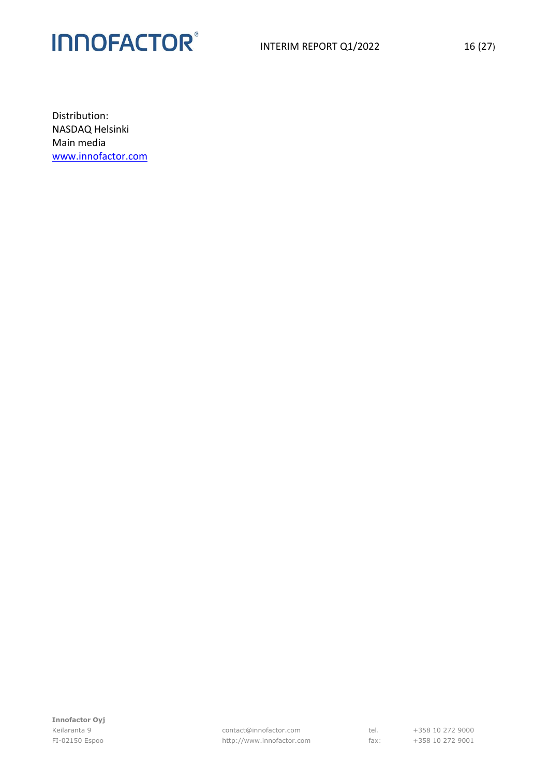Distribution: NASDAQ Helsinki Main media [www.innofactor.com](http://www.innofactor.com/)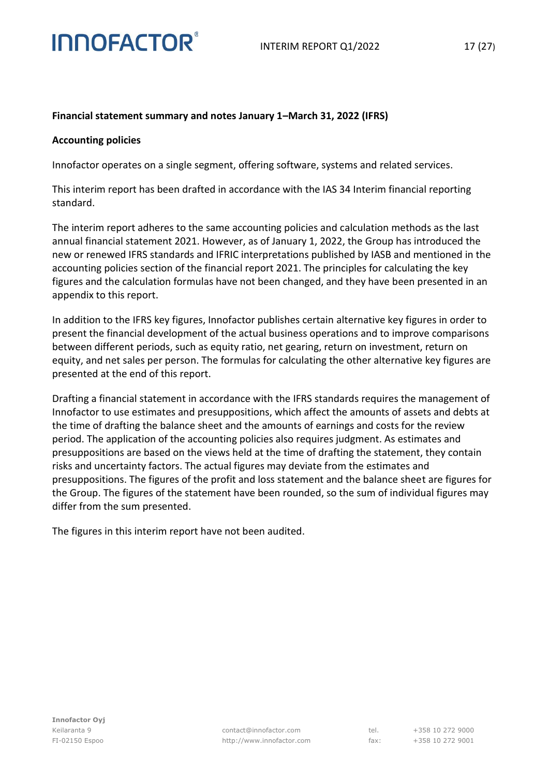

#### **Financial statement summary and notes January 1–March 31, 2022 (IFRS)**

#### **Accounting policies**

Innofactor operates on a single segment, offering software, systems and related services.

This interim report has been drafted in accordance with the IAS 34 Interim financial reporting standard.

The interim report adheres to the same accounting policies and calculation methods as the last annual financial statement 2021. However, as of January 1, 2022, the Group has introduced the new or renewed IFRS standards and IFRIC interpretations published by IASB and mentioned in the accounting policies section of the financial report 2021. The principles for calculating the key figures and the calculation formulas have not been changed, and they have been presented in an appendix to this report.

In addition to the IFRS key figures, Innofactor publishes certain alternative key figures in order to present the financial development of the actual business operations and to improve comparisons between different periods, such as equity ratio, net gearing, return on investment, return on equity, and net sales per person. The formulas for calculating the other alternative key figures are presented at the end of this report.

Drafting a financial statement in accordance with the IFRS standards requires the management of Innofactor to use estimates and presuppositions, which affect the amounts of assets and debts at the time of drafting the balance sheet and the amounts of earnings and costs for the review period. The application of the accounting policies also requires judgment. As estimates and presuppositions are based on the views held at the time of drafting the statement, they contain risks and uncertainty factors. The actual figures may deviate from the estimates and presuppositions. The figures of the profit and loss statement and the balance sheet are figures for the Group. The figures of the statement have been rounded, so the sum of individual figures may differ from the sum presented.

The figures in this interim report have not been audited.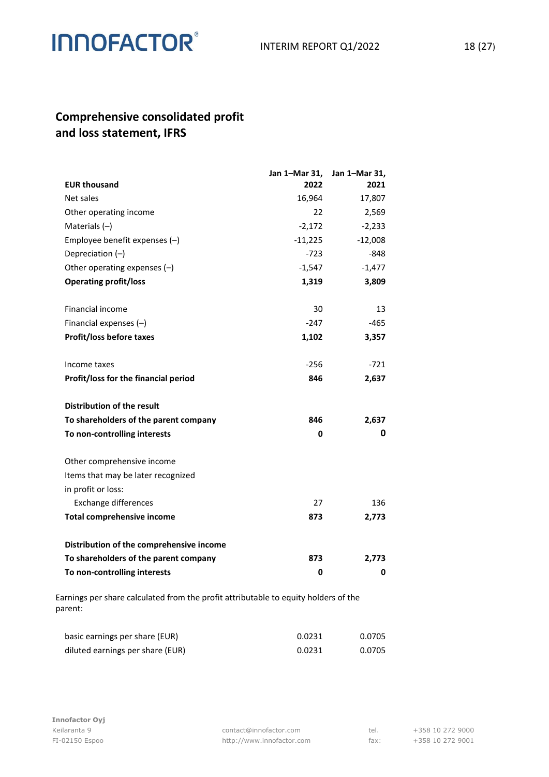### **Comprehensive consolidated profit and loss statement, IFRS**

|                                          | Jan 1-Mar 31, | Jan 1-Mar 31, |
|------------------------------------------|---------------|---------------|
| <b>EUR thousand</b>                      | 2022          | 2021          |
| Net sales                                | 16,964        | 17,807        |
| Other operating income                   | 22            | 2,569         |
| Materials $(-)$                          | $-2,172$      | $-2,233$      |
| Employee benefit expenses $(-)$          | $-11,225$     | $-12,008$     |
| Depreciation (-)                         | $-723$        | $-848$        |
| Other operating expenses $(-)$           | $-1,547$      | $-1,477$      |
| <b>Operating profit/loss</b>             | 1,319         | 3,809         |
|                                          |               |               |
| <b>Financial income</b>                  | 30            | 13            |
| Financial expenses $(-)$                 | $-247$        | $-465$        |
| Profit/loss before taxes                 | 1,102         | 3,357         |
|                                          |               |               |
| Income taxes                             | $-256$        | -721          |
| Profit/loss for the financial period     | 846           | 2,637         |
| Distribution of the result               |               |               |
| To shareholders of the parent company    | 846           | 2,637         |
| To non-controlling interests             | 0             | 0             |
| Other comprehensive income               |               |               |
| Items that may be later recognized       |               |               |
| in profit or loss:                       |               |               |
| Exchange differences                     | 27            | 136           |
| <b>Total comprehensive income</b>        | 873           | 2,773         |
|                                          |               |               |
| Distribution of the comprehensive income |               |               |
| To shareholders of the parent company    | 873           | 2,773         |
| To non-controlling interests             | 0             | 0             |

Earnings per share calculated from the profit attributable to equity holders of the parent:

| basic earnings per share (EUR)   | 0.0231 | 0.0705 |
|----------------------------------|--------|--------|
| diluted earnings per share (EUR) | 0.0231 | 0.0705 |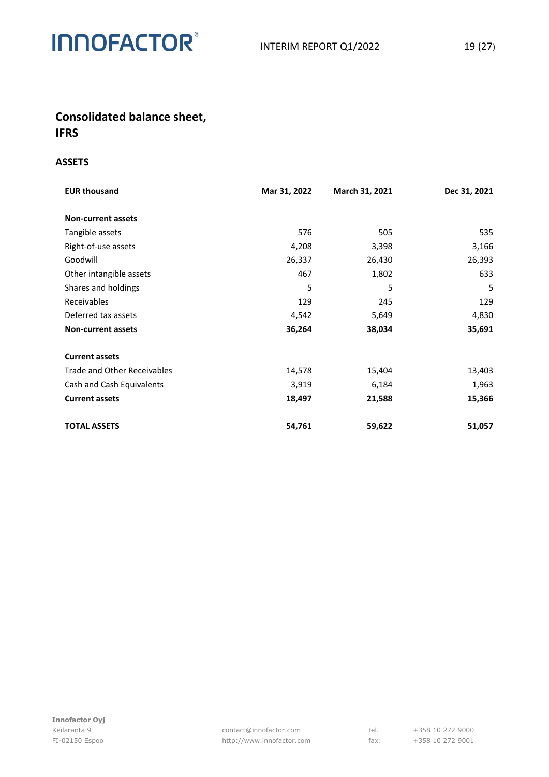

### **Consolidated balance sheet, IFRS**

#### **ASSETS**

| <b>EUR thousand</b>                | Mar 31, 2022 | March 31, 2021 | Dec 31, 2021 |
|------------------------------------|--------------|----------------|--------------|
| <b>Non-current assets</b>          |              |                |              |
| Tangible assets                    | 576          | 505            | 535          |
| Right-of-use assets                | 4,208        | 3,398          | 3,166        |
| Goodwill                           | 26,337       | 26,430         | 26,393       |
| Other intangible assets            | 467          | 1,802          | 633          |
| Shares and holdings                | 5            | 5              | 5            |
| Receivables                        | 129          | 245            | 129          |
| Deferred tax assets                | 4,542        | 5,649          | 4,830        |
| <b>Non-current assets</b>          | 36,264       | 38,034         | 35,691       |
| <b>Current assets</b>              |              |                |              |
| <b>Trade and Other Receivables</b> | 14,578       | 15,404         | 13,403       |
| Cash and Cash Equivalents          | 3,919        | 6,184          | 1,963        |
| <b>Current assets</b>              | 18,497       | 21,588         | 15,366       |
| <b>TOTAL ASSETS</b>                | 54,761       | 59,622         | 51,057       |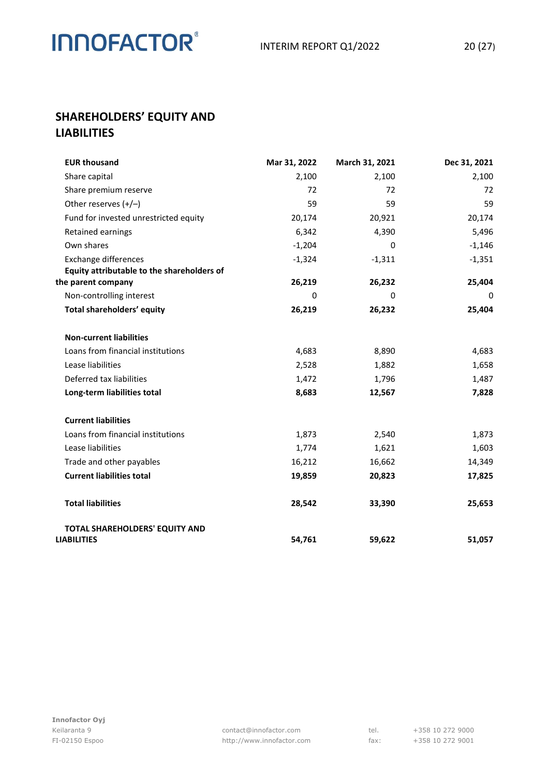### **SHAREHOLDERS' EQUITY AND LIABILITIES**

| <b>EUR thousand</b>                                  | Mar 31, 2022 | March 31, 2021 | Dec 31, 2021 |
|------------------------------------------------------|--------------|----------------|--------------|
| Share capital                                        | 2,100        | 2,100          | 2,100        |
| Share premium reserve                                | 72           | 72             | 72           |
| Other reserves $(+/-)$                               | 59           | 59             | 59           |
| Fund for invested unrestricted equity                | 20,174       | 20,921         | 20,174       |
| Retained earnings                                    | 6,342        | 4,390          | 5,496        |
| Own shares                                           | $-1,204$     | 0              | $-1,146$     |
| <b>Exchange differences</b>                          | $-1,324$     | $-1,311$       | $-1,351$     |
| Equity attributable to the shareholders of           |              |                |              |
| the parent company                                   | 26,219       | 26,232         | 25,404       |
| Non-controlling interest                             | 0            | 0              | 0            |
| Total shareholders' equity                           | 26,219       | 26,232         | 25,404       |
| <b>Non-current liabilities</b>                       |              |                |              |
| Loans from financial institutions                    | 4,683        | 8,890          | 4,683        |
| Lease liabilities                                    | 2,528        | 1,882          | 1,658        |
| Deferred tax liabilities                             | 1,472        | 1,796          | 1,487        |
| Long-term liabilities total                          | 8,683        | 12,567         | 7,828        |
| <b>Current liabilities</b>                           |              |                |              |
| Loans from financial institutions                    | 1,873        | 2,540          | 1,873        |
| Lease liabilities                                    | 1,774        | 1,621          | 1,603        |
| Trade and other payables                             | 16,212       | 16,662         | 14,349       |
| <b>Current liabilities total</b>                     | 19,859       | 20,823         | 17,825       |
| <b>Total liabilities</b>                             | 28,542       | 33,390         | 25,653       |
| TOTAL SHAREHOLDERS' EQUITY AND<br><b>LIABILITIES</b> | 54,761       | 59,622         | 51,057       |
|                                                      |              |                |              |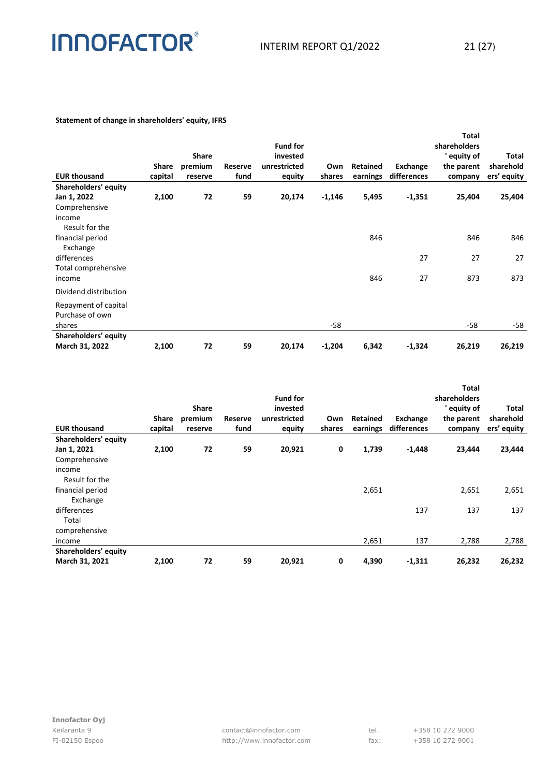#### **Statement of change in shareholders' equity, IFRS**

|                       |         |         |         |                 |          |          |             | Total        |              |
|-----------------------|---------|---------|---------|-----------------|----------|----------|-------------|--------------|--------------|
|                       |         |         |         | <b>Fund for</b> |          |          |             | shareholders |              |
|                       |         | Share   |         | invested        |          |          |             | ' equity of  | <b>Total</b> |
|                       | Share   | premium | Reserve | unrestricted    | Own      | Retained | Exchange    | the parent   | sharehold    |
| <b>EUR thousand</b>   | capital | reserve | fund    | equity          | shares   | earnings | differences | company      | ers' equity  |
| Shareholders' equity  |         |         |         |                 |          |          |             |              |              |
| Jan 1, 2022           | 2,100   | 72      | 59      | 20,174          | $-1,146$ | 5,495    | $-1,351$    | 25,404       | 25,404       |
| Comprehensive         |         |         |         |                 |          |          |             |              |              |
| income                |         |         |         |                 |          |          |             |              |              |
| Result for the        |         |         |         |                 |          |          |             |              |              |
| financial period      |         |         |         |                 |          | 846      |             | 846          | 846          |
| Exchange              |         |         |         |                 |          |          |             |              |              |
| differences           |         |         |         |                 |          |          | 27          | 27           | 27           |
| Total comprehensive   |         |         |         |                 |          |          |             |              |              |
| income                |         |         |         |                 |          | 846      | 27          | 873          | 873          |
| Dividend distribution |         |         |         |                 |          |          |             |              |              |
| Repayment of capital  |         |         |         |                 |          |          |             |              |              |
| Purchase of own       |         |         |         |                 |          |          |             |              |              |
| shares                |         |         |         |                 | $-58$    |          |             | -58          | -58          |
| Shareholders' equity  |         |         |         |                 |          |          |             |              |              |
| March 31, 2022        | 2,100   | 72      | 59      | 20,174          | $-1,204$ | 6,342    | $-1,324$    | 26,219       | 26,219       |

|                      |         |              |         |                 |        |          |             | <b>Total</b> |             |
|----------------------|---------|--------------|---------|-----------------|--------|----------|-------------|--------------|-------------|
|                      |         |              |         | <b>Fund for</b> |        |          |             | shareholders |             |
|                      |         | <b>Share</b> |         | invested        |        |          |             | ' equity of  | Total       |
|                      | Share   | premium      | Reserve | unrestricted    | Own    | Retained | Exchange    | the parent   | sharehold   |
| <b>EUR thousand</b>  | capital | reserve      | fund    | equity          | shares | earnings | differences | company      | ers' equity |
| Shareholders' equity |         |              |         |                 |        |          |             |              |             |
| Jan 1, 2021          | 2,100   | 72           | 59      | 20,921          | 0      | 1,739    | $-1,448$    | 23,444       | 23,444      |
| Comprehensive        |         |              |         |                 |        |          |             |              |             |
| income               |         |              |         |                 |        |          |             |              |             |
| Result for the       |         |              |         |                 |        |          |             |              |             |
| financial period     |         |              |         |                 |        | 2,651    |             | 2,651        | 2,651       |
| Exchange             |         |              |         |                 |        |          |             |              |             |
| differences          |         |              |         |                 |        |          | 137         | 137          | 137         |
| Total                |         |              |         |                 |        |          |             |              |             |
| comprehensive        |         |              |         |                 |        |          |             |              |             |
| income               |         |              |         |                 |        | 2,651    | 137         | 2,788        | 2,788       |
| Shareholders' equity |         |              |         |                 |        |          |             |              |             |
| March 31, 2021       | 2,100   | 72           | 59      | 20,921          | 0      | 4,390    | $-1,311$    | 26,232       | 26,232      |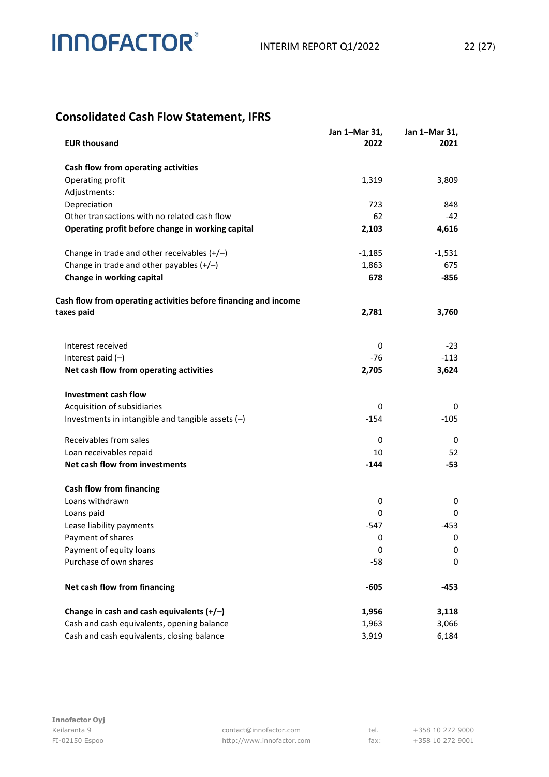### **Consolidated Cash Flow Statement, IFRS**

| <b>EUR thousand</b>                                             | Jan 1-Mar 31,<br>2022 | Jan 1-Mar 31,<br>2021 |
|-----------------------------------------------------------------|-----------------------|-----------------------|
| Cash flow from operating activities                             |                       |                       |
| Operating profit                                                | 1,319                 | 3,809                 |
| Adjustments:                                                    |                       |                       |
| Depreciation                                                    | 723                   | 848                   |
| Other transactions with no related cash flow                    | 62                    | $-42$                 |
| Operating profit before change in working capital               | 2,103                 | 4,616                 |
| Change in trade and other receivables $(+/-)$                   | $-1,185$              | $-1,531$              |
| Change in trade and other payables $(+/-)$                      | 1,863                 | 675                   |
| Change in working capital                                       | 678                   | -856                  |
| Cash flow from operating activities before financing and income |                       |                       |
| taxes paid                                                      | 2,781                 | 3,760                 |
| Interest received                                               | 0                     | $-23$                 |
| Interest paid $(-)$                                             | -76                   | $-113$                |
| Net cash flow from operating activities                         | 2,705                 | 3,624                 |
| <b>Investment cash flow</b>                                     |                       |                       |
| Acquisition of subsidiaries                                     | 0                     | 0                     |
| Investments in intangible and tangible assets $(-)$             | $-154$                | $-105$                |
| Receivables from sales                                          | 0                     | 0                     |
| Loan receivables repaid                                         | 10                    | 52                    |
| Net cash flow from investments                                  | $-144$                | -53                   |
| <b>Cash flow from financing</b>                                 |                       |                       |
| Loans withdrawn                                                 | 0                     | 0                     |
| Loans paid                                                      | 0                     | 0                     |
| Lease liability payments                                        | $-547$                | $-453$                |
| Payment of shares                                               | 0                     | 0                     |
| Payment of equity loans                                         | 0                     | 0                     |
| Purchase of own shares                                          | $-58$                 | 0                     |
| Net cash flow from financing                                    | $-605$                | $-453$                |
| Change in cash and cash equivalents $(+/-)$                     | 1,956                 | 3,118                 |
| Cash and cash equivalents, opening balance                      | 1,963                 | 3,066                 |
| Cash and cash equivalents, closing balance                      | 3,919                 | 6,184                 |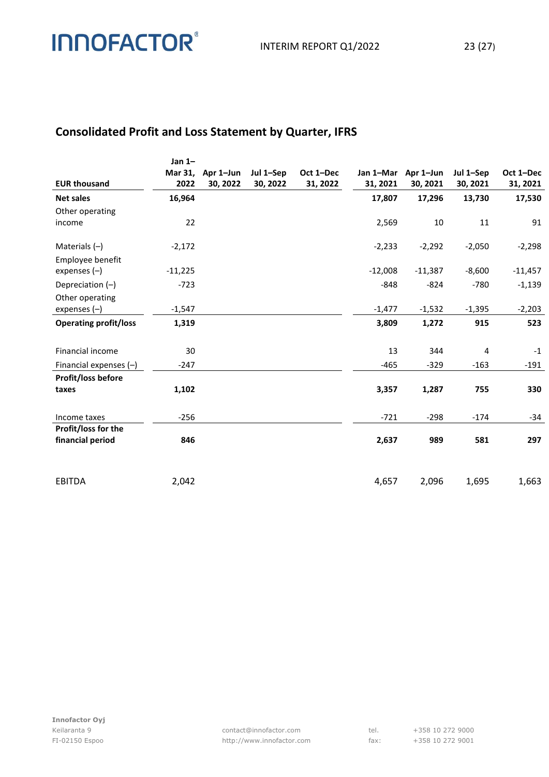### **Consolidated Profit and Loss Statement by Quarter, IFRS**

| <b>EUR thousand</b>          | Jan $1-$<br>Mar 31,<br>2022 | Apr 1-Jun<br>30, 2022 | Jul 1-Sep<br>30, 2022 | Oct 1-Dec<br>31, 2022 | 31, 2021  | Jan 1-Mar Apr 1-Jun<br>30, 2021 | Jul 1-Sep<br>30, 2021 | Oct 1-Dec<br>31, 2021 |
|------------------------------|-----------------------------|-----------------------|-----------------------|-----------------------|-----------|---------------------------------|-----------------------|-----------------------|
| <b>Net sales</b>             | 16,964                      |                       |                       |                       | 17,807    | 17,296                          | 13,730                | 17,530                |
| Other operating              |                             |                       |                       |                       |           |                                 |                       |                       |
| income                       | 22                          |                       |                       |                       | 2,569     | 10                              | 11                    | 91                    |
| Materials $(-)$              | $-2,172$                    |                       |                       |                       | $-2,233$  | $-2,292$                        | $-2,050$              | $-2,298$              |
| Employee benefit             |                             |                       |                       |                       |           |                                 |                       |                       |
| expenses $(-)$               | $-11,225$                   |                       |                       |                       | $-12,008$ | $-11,387$                       | $-8,600$              | $-11,457$             |
| Depreciation $(-)$           | $-723$                      |                       |                       |                       | $-848$    | $-824$                          | $-780$                | $-1,139$              |
| Other operating              |                             |                       |                       |                       |           |                                 |                       |                       |
| expenses $(-)$               | $-1,547$                    |                       |                       |                       | $-1,477$  | $-1,532$                        | $-1,395$              | $-2,203$              |
| <b>Operating profit/loss</b> | 1,319                       |                       |                       |                       | 3,809     | 1,272                           | 915                   | 523                   |
| Financial income             | 30                          |                       |                       |                       | 13        | 344                             | 4                     | $-1$                  |
| Financial expenses $(-)$     | $-247$                      |                       |                       |                       | $-465$    | $-329$                          | $-163$                | $-191$                |
| <b>Profit/loss before</b>    |                             |                       |                       |                       |           |                                 |                       |                       |
| taxes                        | 1,102                       |                       |                       |                       | 3,357     | 1,287                           | 755                   | 330                   |
| Income taxes                 | $-256$                      |                       |                       |                       | $-721$    | $-298$                          | $-174$                | $-34$                 |
| <b>Profit/loss for the</b>   |                             |                       |                       |                       |           |                                 |                       |                       |
| financial period             | 846                         |                       |                       |                       | 2,637     | 989                             | 581                   | 297                   |
|                              |                             |                       |                       |                       |           |                                 |                       |                       |
| <b>EBITDA</b>                | 2,042                       |                       |                       |                       | 4,657     | 2,096                           | 1,695                 | 1,663                 |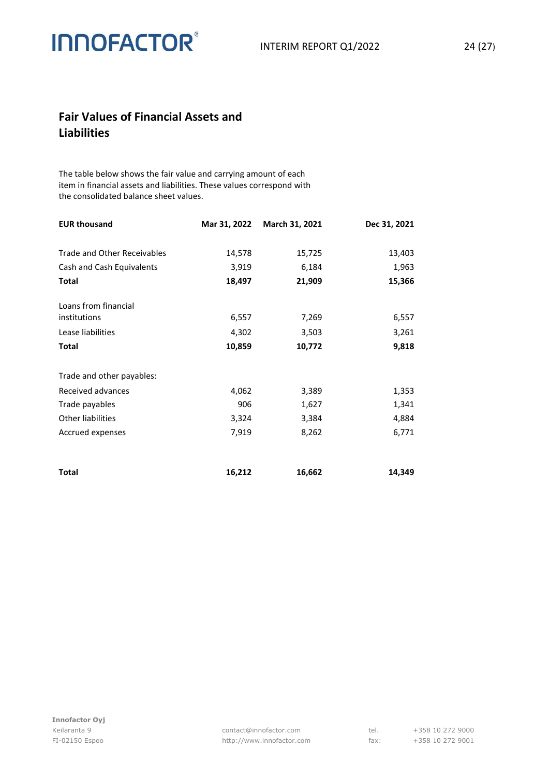### **Fair Values of Financial Assets and Liabilities**

The table below shows the fair value and carrying amount of each item in financial assets and liabilities. These values correspond with the consolidated balance sheet values.

| <b>EUR thousand</b>                | Mar 31, 2022 | March 31, 2021 | Dec 31, 2021 |
|------------------------------------|--------------|----------------|--------------|
|                                    |              |                |              |
| <b>Trade and Other Receivables</b> | 14,578       | 15,725         | 13,403       |
| Cash and Cash Equivalents          | 3,919        | 6,184          | 1,963        |
| <b>Total</b>                       | 18,497       | 21,909         | 15,366       |
| Loans from financial               |              |                |              |
| institutions                       | 6,557        | 7,269          | 6,557        |
| Lease liabilities                  | 4,302        | 3,503          | 3,261        |
| <b>Total</b>                       | 10,859       | 10,772         | 9,818        |
|                                    |              |                |              |
| Trade and other payables:          |              |                |              |
| Received advances                  | 4,062        | 3,389          | 1,353        |
| Trade payables                     | 906          | 1,627          | 1,341        |
| Other liabilities                  | 3,324        | 3,384          | 4,884        |
| Accrued expenses                   | 7,919        | 8,262          | 6,771        |
| Total                              | 16,212       | 16,662         | 14,349       |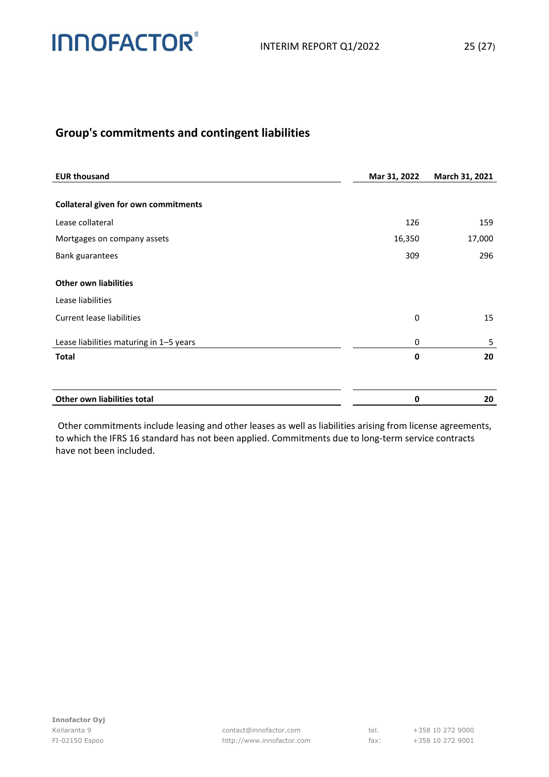

### **Group's commitments and contingent liabilities**

| <b>EUR thousand</b>                               | Mar 31, 2022 | March 31, 2021 |
|---------------------------------------------------|--------------|----------------|
| <b>Collateral given for own commitments</b>       |              |                |
| Lease collateral                                  | 126          | 159            |
| Mortgages on company assets                       | 16,350       | 17,000         |
| <b>Bank guarantees</b>                            | 309          | 296            |
| <b>Other own liabilities</b><br>Lease liabilities |              |                |
| <b>Current lease liabilities</b>                  | 0            | 15             |
| Lease liabilities maturing in 1-5 years           | 0            | 5              |
| <b>Total</b>                                      | 0            | 20             |
|                                                   |              |                |
| Other own liabilities total                       | 0            | 20             |

Other commitments include leasing and other leases as well as liabilities arising from license agreements, to which the IFRS 16 standard has not been applied. Commitments due to long-term service contracts have not been included.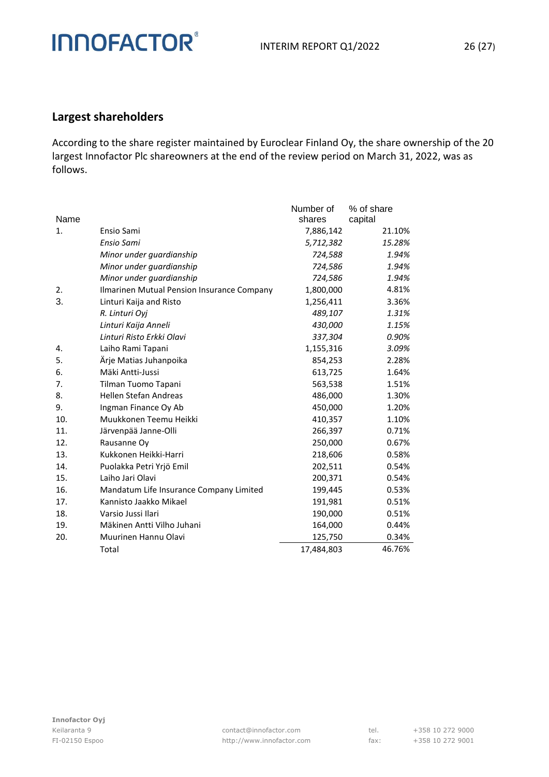### **Largest shareholders**

**INNOFACTOR®** 

According to the share register maintained by Euroclear Finland Oy, the share ownership of the 20 largest Innofactor Plc shareowners at the end of the review period on March 31, 2022, was as follows.

|      |                                            | Number of  | % of share |
|------|--------------------------------------------|------------|------------|
| Name |                                            | shares     | capital    |
| 1.   | Ensio Sami                                 | 7,886,142  | 21.10%     |
|      | Ensio Sami                                 | 5,712,382  | 15.28%     |
|      | Minor under guardianship                   | 724,588    | 1.94%      |
|      | Minor under guardianship                   | 724,586    | 1.94%      |
|      | Minor under guardianship                   | 724,586    | 1.94%      |
| 2.   | Ilmarinen Mutual Pension Insurance Company | 1,800,000  | 4.81%      |
| 3.   | Linturi Kaija and Risto                    | 1,256,411  | 3.36%      |
|      | R. Linturi Oyj                             | 489,107    | 1.31%      |
|      | Linturi Kaija Anneli                       | 430,000    | 1.15%      |
|      | Linturi Risto Erkki Olavi                  | 337,304    | 0.90%      |
| 4.   | Laiho Rami Tapani                          | 1,155,316  | 3.09%      |
| 5.   | Ärje Matias Juhanpoika                     | 854,253    | 2.28%      |
| 6.   | Mäki Antti-Jussi                           | 613,725    | 1.64%      |
| 7.   | Tilman Tuomo Tapani                        | 563,538    | 1.51%      |
| 8.   | Hellen Stefan Andreas                      | 486,000    | 1.30%      |
| 9.   | Ingman Finance Oy Ab                       | 450,000    | 1.20%      |
| 10.  | Muukkonen Teemu Heikki                     | 410,357    | 1.10%      |
| 11.  | Järvenpää Janne-Olli                       | 266,397    | 0.71%      |
| 12.  | Rausanne Oy                                | 250,000    | 0.67%      |
| 13.  | Kukkonen Heikki-Harri                      | 218,606    | 0.58%      |
| 14.  | Puolakka Petri Yrjö Emil                   | 202,511    | 0.54%      |
| 15.  | Laiho Jari Olavi                           | 200,371    | 0.54%      |
| 16.  | Mandatum Life Insurance Company Limited    | 199,445    | 0.53%      |
| 17.  | Kannisto Jaakko Mikael                     | 191,981    | 0.51%      |
| 18.  | Varsio Jussi Ilari                         | 190,000    | 0.51%      |
| 19.  | Mäkinen Antti Vilho Juhani                 | 164,000    | 0.44%      |
| 20.  | Muurinen Hannu Olavi                       | 125,750    | 0.34%      |
|      | Total                                      | 17,484,803 | 46.76%     |